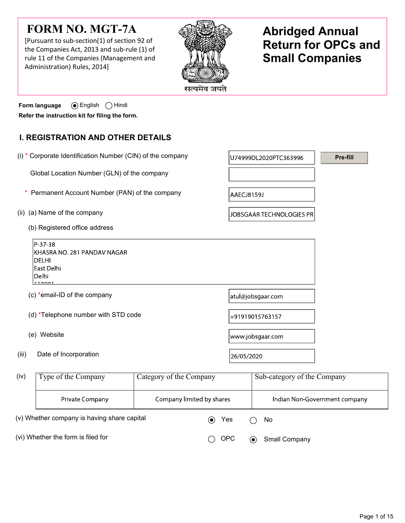# FORM NO. MGT-7A

[Pursuant to sub-section(1) of section 92 of the Companies Act, 2013 and sub-rule (1) of rule 11 of the Companies (Management and Administration) Rules, 2014]



# Abridged Annual Return for OPCs and Small Companies

Form language  $\qquad \circledast$  English  $\bigcirc$  Hindi Refer the instruction kit for filing the form.

# I. REGISTRATION AND OTHER DETAILS

 (i) \* Corporate Identification Number (CIN) of the company Pre-fill U74999DL2020PTC363996 Global Location Number (GLN) of the company \* Permanent Account Number (PAN) of the companyAAECJ8159J (ii) (a) Name of the company JOBSGAAR TECHNOLOGIES PR (b) Registered office address P-37-38 KHASRA NO. 281 PANDAV NAGAR DELHI East Delhi Delhi  $\left| \cdot \right|$  (c) \*email-ID of the company atul@jobsgaar.com (d) \*Telephone number with STD code +91919015763157 (e) Website www.jobsgaar.com (iii) Date of Incorporation 26/05/2020  $\begin{array}{c|c|c|c|c} \text{(iv)} & \text{Type of the Company} & \text{Category of the Company} & \text{Sub-category of the Company} \end{array}$ Private Company Company limited by shares Indian Non-Government company (v) Whether company is having share capital  $\qquad \qquad \bullet \qquad \text{Yes} \qquad \bigcap \text{No}$ 

(vi) Whether the form is filed for  $\bigcirc$  OPC  $\bigcirc$  Small Company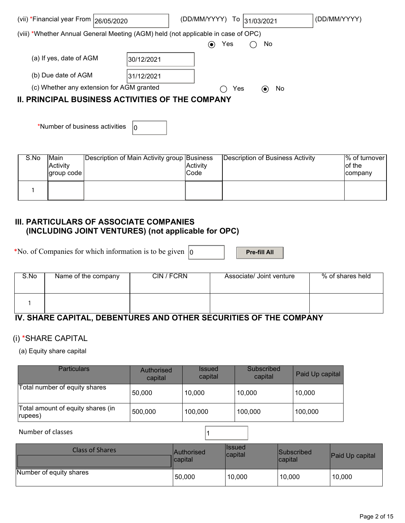| (vii) *Financial year From   26/05/2020                                           |            | (DD/MM/YYYY)<br>Τo | 31/03/2021                            | (DD/MM/YYYY) |
|-----------------------------------------------------------------------------------|------------|--------------------|---------------------------------------|--------------|
| (viii) *Whether Annual General Meeting (AGM) held (not applicable in case of OPC) |            |                    |                                       |              |
|                                                                                   |            | Yes<br>$(\bullet)$ | No.                                   |              |
| (a) If yes, date of AGM                                                           | 30/12/2021 |                    |                                       |              |
| (b) Due date of AGM                                                               | 31/12/2021 |                    |                                       |              |
| (c) Whether any extension for AGM granted                                         |            | Yes                | <b>No</b><br>$\left( \bullet \right)$ |              |
| <b>II. PRINCIPAL BUSINESS ACTIVITIES OF THE COMPANY</b>                           |            |                    |                                       |              |
|                                                                                   |            |                    |                                       |              |
|                                                                                   |            |                    |                                       |              |

| S.No | <b>Main</b><br>Activity<br> group code | Description of Main Activity group Business | Activity<br>Code | Description of Business Activity | 1% of turnover l<br>lof the<br><b>company</b> |
|------|----------------------------------------|---------------------------------------------|------------------|----------------------------------|-----------------------------------------------|
|      |                                        |                                             |                  |                                  |                                               |

## III. PARTICULARS OF ASSOCIATE COMPANIES (INCLUDING JOINT VENTURES) (not applicable for OPC)

\*No. of Companies for which information is to be given  $\vert_0$  Pre-fill All

\*Number of business activities  $\vert_0$ 

| S.No | Name of the company | CIN / FCRN | Associate/ Joint venture | % of shares held |
|------|---------------------|------------|--------------------------|------------------|
|      |                     |            |                          |                  |

# IV. SHARE CAPITAL, DEBENTURES AND OTHER SECURITIES OF THE COMPANY

## (i) \*SHARE CAPITAL

(a) Equity share capital

| <b>Particulars</b>                            | Authorised<br>capital | <i><b>Issued</b></i><br>capital | Subscribed<br>capital | Paid Up capital |
|-----------------------------------------------|-----------------------|---------------------------------|-----------------------|-----------------|
| Total number of equity shares                 | 50,000                | 10,000                          | 10,000                | 10,000          |
| Total amount of equity shares (in<br>(rupees) | 500,000               | 100,000                         | 100,000               | 100,000         |

#### Number of classes 11

| Class of Shares         | <b>Authorised</b><br>llcapital | llssued<br>capital | <b>Subscribed</b><br>lcapital | <b>Paid Up capital</b> |
|-------------------------|--------------------------------|--------------------|-------------------------------|------------------------|
| Number of equity shares | 50,000                         | 10,000             | 10,000                        | 10,000                 |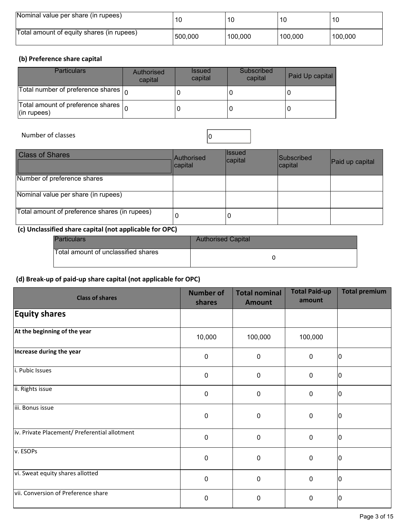| Nominal value per share (in rupees)       | 10      | 10      | 10      | 10      |
|-------------------------------------------|---------|---------|---------|---------|
| Total amount of equity shares (in rupees) | 500,000 | 100,000 | 100.000 | 100,000 |

## (b) Preference share capital

| <b>Particulars</b>                                                    | Authorised<br>capital | <b>Issued</b><br>capital | Subscribed<br>capital | Paid Up capital |
|-----------------------------------------------------------------------|-----------------------|--------------------------|-----------------------|-----------------|
| Total number of preference shares $\vert_{\Omega}$                    |                       |                          |                       |                 |
| Total amount of preference shares $\vert_{\Omega}$<br>$ $ (in rupees) |                       |                          |                       |                 |

Number of classes and contact the contact of classes and contact of  $\sim$  0

| <b>Class of Shares</b>                        | Authorised<br>capital | llssued<br> capital | <b>Subscribed</b><br>capital | Paid up capital |
|-----------------------------------------------|-----------------------|---------------------|------------------------------|-----------------|
| Number of preference shares                   |                       |                     |                              |                 |
| Nominal value per share (in rupees)           |                       |                     |                              |                 |
| Total amount of preference shares (in rupees) | U                     | U                   |                              |                 |

## (c) Unclassified share capital (not applicable for OPC)

| <b>Particulars</b>                  | <b>Authorised Capital</b> |
|-------------------------------------|---------------------------|
| Total amount of unclassified shares |                           |

## (d) Break-up of paid-up share capital (not applicable for OPC)

| <b>Class of shares</b>                        | <b>Number of</b><br>shares | <b>Total nominal</b><br><b>Amount</b> | <b>Total Paid-up</b><br>amount | <b>Total premium</b> |
|-----------------------------------------------|----------------------------|---------------------------------------|--------------------------------|----------------------|
| <b>Equity shares</b>                          |                            |                                       |                                |                      |
| At the beginning of the year                  | 10,000                     | 100,000                               | 100,000                        |                      |
| Increase during the year                      | $\mathbf 0$                | $\mathbf 0$                           | $\mathbf 0$                    | ۱O                   |
| i. Pubic Issues                               | $\pmb{0}$                  | 0                                     | $\mathbf 0$                    | 10                   |
| ii. Rights issue                              | $\boldsymbol{0}$           | 0                                     | $\mathbf 0$                    | l0                   |
| iii. Bonus issue                              | $\mathbf 0$                | $\mathbf 0$                           | $\mathbf 0$                    | IO                   |
| iv. Private Placement/ Preferential allotment | $\boldsymbol{0}$           | $\mathbf 0$                           | $\mathbf 0$                    | ١O                   |
| v. ESOPs                                      | $\mathbf 0$                | $\pmb{0}$                             | $\mathbf 0$                    | 10                   |
| vi. Sweat equity shares allotted              | $\mathbf 0$                | $\mathbf 0$                           | $\mathbf 0$                    | ۱O                   |
| vii. Conversion of Preference share           | $\mathbf 0$                | 0                                     | $\mathbf 0$                    | ۱O                   |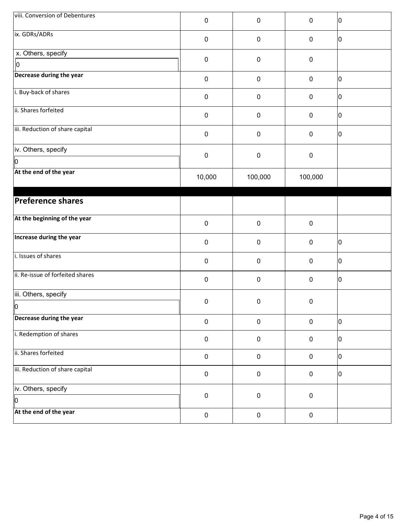| viii. Conversion of Debentures       | 0         | $\pmb{0}$ | $\mathbf 0$      | 10 |
|--------------------------------------|-----------|-----------|------------------|----|
| ix. GDRs/ADRs                        | 0         | $\pmb{0}$ | $\pmb{0}$        | 10 |
| x. Others, specify<br>$\vert$ o      | 0         | $\pmb{0}$ | $\mathbf 0$      |    |
| Decrease during the year             | $\pmb{0}$ | $\pmb{0}$ | $\pmb{0}$        | 10 |
| i. Buy-back of shares                | 0         | 0         | $\boldsymbol{0}$ | 10 |
| ii. Shares forfeited                 | 0         | $\pmb{0}$ | $\boldsymbol{0}$ | 10 |
| iii. Reduction of share capital      | 0         | $\pmb{0}$ | $\pmb{0}$        | 10 |
| iv. Others, specify                  |           |           |                  |    |
| Iо                                   | 0         | $\pmb{0}$ | $\boldsymbol{0}$ |    |
| At the end of the year               | 10,000    | 100,000   | 100,000          |    |
| Preference shares                    |           |           |                  |    |
| At the beginning of the year         | 0         | $\pmb{0}$ | $\pmb{0}$        |    |
| Increase during the year             | 0         | $\pmb{0}$ | $\pmb{0}$        | 10 |
| i. Issues of shares                  | 0         | $\pmb{0}$ | $\pmb{0}$        | 10 |
| ii. Re-issue of forfeited shares     | 0         | $\pmb{0}$ | $\boldsymbol{0}$ | 10 |
| iii. Others, specify<br>$\mathsf{I}$ | 0         | 0         | $\pmb{0}$        |    |
| Decrease during the year             | $\pmb{0}$ | $\pmb{0}$ | $\pmb{0}$        | 10 |
| i. Redemption of shares              | 0         | $\pmb{0}$ | $\boldsymbol{0}$ | 10 |
| ii. Shares forfeited                 | $\pmb{0}$ | $\pmb{0}$ | $\pmb{0}$        | 10 |
| iii. Reduction of share capital      | $\pmb{0}$ | $\pmb{0}$ | $\pmb{0}$        | 10 |
| iv. Others, specify<br>Iр            | $\pmb{0}$ | $\pmb{0}$ | $\pmb{0}$        |    |
| At the end of the year               | $\pmb{0}$ | $\pmb{0}$ | $\pmb{0}$        |    |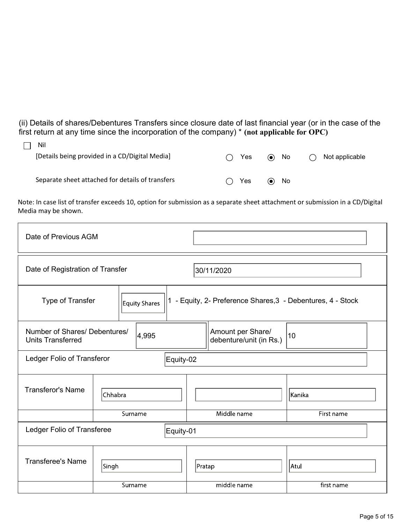(ii) Details of shares/Debentures Transfers since closure date of last financial year (or in the case of the first return at any time since the incorporation of the company)  $*$  (not applicable for OPC)

| Nil<br>[Details being provided in a CD/Digital Media] | <b>Yes</b><br>( | No<br>$\left( \bullet \right)$ | Not applicable |
|-------------------------------------------------------|-----------------|--------------------------------|----------------|
| Separate sheet attached for details of transfers      | Yes<br>(        | No.<br>(●)                     |                |

Note: In case list of transfer exceeds 10, option for submission as a separate sheet attachment or submission in a CD/Digital Media may be shown.

| Date of Previous AGM                                      |                                   |  |             |                                                           |            |
|-----------------------------------------------------------|-----------------------------------|--|-------------|-----------------------------------------------------------|------------|
| Date of Registration of Transfer<br>30/11/2020            |                                   |  |             |                                                           |            |
|                                                           | Type of Transfer<br>Equity Shares |  |             | - Equity, 2- Preference Shares, 3 - Debentures, 4 - Stock |            |
| Number of Shares/ Debentures/<br><b>Units Transferred</b> | 4,995                             |  |             | Amount per Share/<br>debenture/unit (in Rs.)              | 10         |
| Ledger Folio of Transferor                                |                                   |  | Equity-02   |                                                           |            |
| <b>Transferor's Name</b>                                  | Chhabra                           |  |             |                                                           | Kanika     |
|                                                           | Surname                           |  | Middle name |                                                           | First name |
| Ledger Folio of Transferee<br>Equity-01                   |                                   |  |             |                                                           |            |
| <b>Transferee's Name</b>                                  | Singh                             |  | Pratap      |                                                           | Atul       |
|                                                           | Surname                           |  | middle name |                                                           | first name |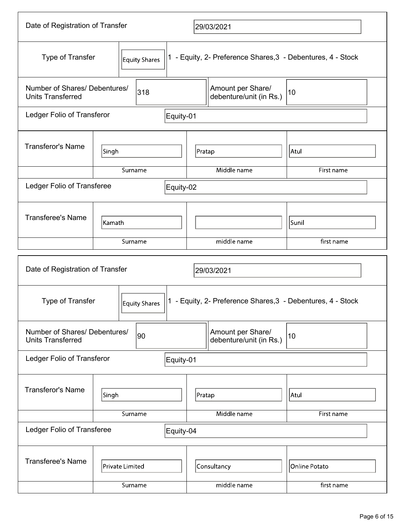| Date of Registration of Transfer                          |                 |         |                                                             | 29/03/2021                                                  |                                              |                             |  |
|-----------------------------------------------------------|-----------------|---------|-------------------------------------------------------------|-------------------------------------------------------------|----------------------------------------------|-----------------------------|--|
| Type of Transfer                                          | Equity Shares   |         | 1 - Equity, 2- Preference Shares, 3 - Debentures, 4 - Stock |                                                             |                                              |                             |  |
| Number of Shares/ Debentures/<br><b>Units Transferred</b> |                 | 318     |                                                             |                                                             | Amount per Share/<br>debenture/unit (in Rs.) | 10                          |  |
| Ledger Folio of Transferor                                |                 |         | Equity-01                                                   |                                                             |                                              |                             |  |
| <b>Transferor's Name</b>                                  | Singh           |         |                                                             | Pratap                                                      |                                              | Atul                        |  |
|                                                           |                 | Surname |                                                             |                                                             | Middle name                                  | First name                  |  |
| Ledger Folio of Transferee                                |                 |         | Equity-02                                                   |                                                             |                                              |                             |  |
| <b>Transferee's Name</b>                                  | Kamath          |         |                                                             |                                                             |                                              | Sunil                       |  |
|                                                           |                 | Surname |                                                             | middle name                                                 |                                              | first name                  |  |
| Date of Registration of Transfer                          |                 |         |                                                             |                                                             | 29/03/2021                                   |                             |  |
| Type of Transfer<br>Equity Shares                         |                 |         |                                                             | 1 - Equity, 2- Preference Shares, 3 - Debentures, 4 - Stock |                                              |                             |  |
|                                                           |                 |         |                                                             |                                                             |                                              |                             |  |
| Number of Shares/ Debentures/<br><b>Units Transferred</b> |                 | 90      |                                                             |                                                             | Amount per Share/<br>debenture/unit (in Rs.) | 10                          |  |
| Ledger Folio of Transferor                                |                 |         | Equity-01                                                   |                                                             |                                              |                             |  |
| <b>Transferor's Name</b>                                  | Singh           |         |                                                             | Pratap                                                      |                                              | Atul                        |  |
|                                                           |                 | Surname |                                                             |                                                             | Middle name                                  | First name                  |  |
| Ledger Folio of Transferee                                |                 |         | Equity-04                                                   |                                                             |                                              |                             |  |
| <b>Transferee's Name</b>                                  | Private Limited | Surname |                                                             |                                                             | Consultancy<br>middle name                   | Online Potato<br>first name |  |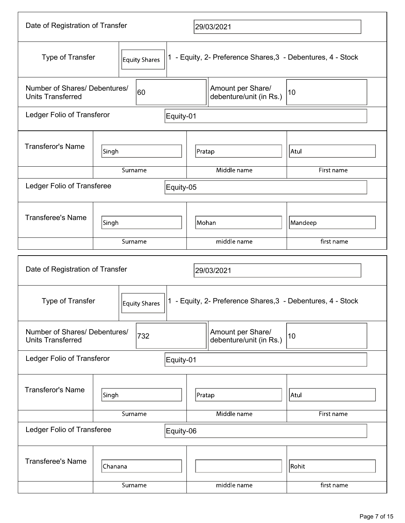| Date of Registration of Transfer                          |                                          |               |           | 29/03/2021  |                                                             |                     |  |
|-----------------------------------------------------------|------------------------------------------|---------------|-----------|-------------|-------------------------------------------------------------|---------------------|--|
|                                                           | <b>Type of Transfer</b><br>Equity Shares |               |           |             | 1 - Equity, 2- Preference Shares, 3 - Debentures, 4 - Stock |                     |  |
| Number of Shares/ Debentures/<br><b>Units Transferred</b> |                                          | 60            |           |             | Amount per Share/<br>debenture/unit (in Rs.)                | 10                  |  |
| Ledger Folio of Transferor                                |                                          |               | Equity-01 |             |                                                             |                     |  |
| <b>Transferor's Name</b>                                  | Singh                                    |               | Pratap    |             | Atul                                                        |                     |  |
|                                                           | Surname                                  |               |           |             | Middle name                                                 | First name          |  |
| Ledger Folio of Transferee                                |                                          |               | Equity-05 |             |                                                             |                     |  |
| <b>Transferee's Name</b>                                  | Singh                                    |               |           | Mohan       |                                                             | Mandeep             |  |
|                                                           | Surname                                  |               |           | middle name |                                                             | first name          |  |
| Date of Registration of Transfer<br>29/03/2021            |                                          |               |           |             |                                                             |                     |  |
|                                                           |                                          |               |           |             |                                                             |                     |  |
| Type of Transfer                                          |                                          | Equity Shares |           |             | 1 - Equity, 2- Preference Shares, 3 - Debentures, 4 - Stock |                     |  |
| Number of Shares/ Debentures/<br><b>Units Transferred</b> |                                          | 732           |           |             | Amount per Share/<br>debenture/unit (in Rs.)                | 10                  |  |
| Ledger Folio of Transferor                                |                                          |               | Equity-01 |             |                                                             |                     |  |
| <b>Transferor's Name</b>                                  | Singh                                    |               |           | Pratap      |                                                             | Atul                |  |
|                                                           | Surname                                  |               |           |             | Middle name                                                 | First name          |  |
| Ledger Folio of Transferee                                |                                          |               | Equity-06 |             |                                                             |                     |  |
| <b>Transferee's Name</b>                                  | Chanana<br>Surname                       |               |           |             | middle name                                                 | Rohit<br>first name |  |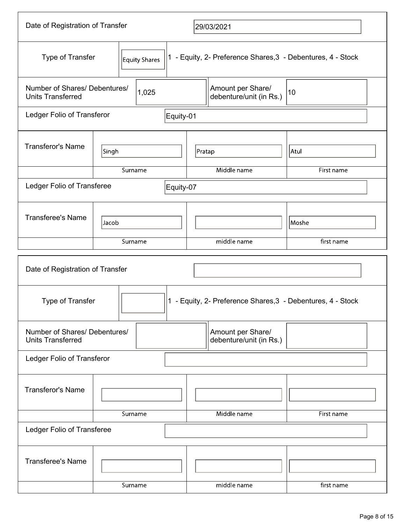| Date of Registration of Transfer                          |               |       |           | 29/03/2021                                                  |            |
|-----------------------------------------------------------|---------------|-------|-----------|-------------------------------------------------------------|------------|
| <b>Type of Transfer</b>                                   | Equity Shares |       |           | 1 - Equity, 2- Preference Shares, 3 - Debentures, 4 - Stock |            |
| Number of Shares/ Debentures/<br><b>Units Transferred</b> |               | 1,025 |           | Amount per Share/<br>debenture/unit (in Rs.)                | 10         |
| Ledger Folio of Transferor                                |               |       | Equity-01 |                                                             |            |
| <b>Transferor's Name</b>                                  | Singh         |       |           | Pratap                                                      | Atul       |
|                                                           | Surname       |       |           | Middle name                                                 | First name |
| Ledger Folio of Transferee                                |               |       | Equity-07 |                                                             |            |
| <b>Transferee's Name</b>                                  | Jacob         |       |           |                                                             | Moshe      |
|                                                           | Surname       |       |           | middle name                                                 | first name |
| Date of Registration of Transfer                          |               |       |           |                                                             |            |
|                                                           |               |       |           |                                                             |            |
| Type of Transfer                                          |               |       |           | 1 - Equity, 2- Preference Shares, 3 - Debentures, 4 - Stock |            |
| Number of Shares/ Debentures/<br><b>Units Transferred</b> |               |       |           | Amount per Share/<br>debenture/unit (in Rs.)                |            |
| Ledger Folio of Transferor                                |               |       |           |                                                             |            |
| <b>Transferor's Name</b>                                  |               |       |           |                                                             |            |
|                                                           | Surname       |       |           | Middle name                                                 | First name |
| Ledger Folio of Transferee                                |               |       |           |                                                             |            |
| <b>Transferee's Name</b>                                  | Surname       |       |           | middle name                                                 | first name |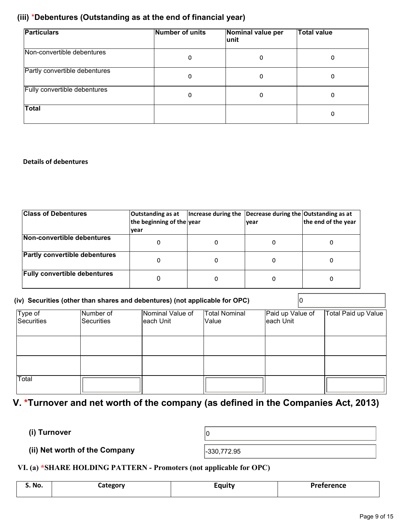## (iii) \*Debentures (Outstanding as at the end of financial year)

| <b>Particulars</b>            | Number of units | Nominal value per<br>∣unit | <b>Total value</b> |
|-------------------------------|-----------------|----------------------------|--------------------|
| Non-convertible debentures    | 0               | 0                          | 0                  |
| Partly convertible debentures | 0               | 0                          | 0                  |
| Fully convertible debentures  | 0               | 0                          | 0                  |
| <b>Total</b>                  |                 |                            | 0                  |

#### Details of debentures

| <b>Class of Debentures</b>           | Outstanding as at<br>the beginning of the year<br><u> vear</u> | Increase during the Decrease during the Outstanding as at<br>Ivear | the end of the year |
|--------------------------------------|----------------------------------------------------------------|--------------------------------------------------------------------|---------------------|
| Non-convertible debentures           |                                                                |                                                                    | 0                   |
| <b>Partly convertible debentures</b> | 0                                                              |                                                                    | 0                   |
| <b>Fully convertible debentures</b>  |                                                                |                                                                    | 0                   |

|                       |                                | (iv) Securities (other than shares and debentures) (not applicable for OPC) |                        |                               |                     |
|-----------------------|--------------------------------|-----------------------------------------------------------------------------|------------------------|-------------------------------|---------------------|
| Type of<br>Securities | Number of<br><b>Securities</b> | Nominal Value of<br>leach Unit                                              | Total Nominal<br>Value | Paid up Value of<br>each Unit | Total Paid up Value |
|                       |                                |                                                                             |                        |                               |                     |
|                       |                                |                                                                             |                        |                               |                     |
| Total                 |                                |                                                                             |                        |                               |                     |

# V. \*Turnover and net worth of the company (as defined in the Companies Act, 2013)

(i) Turnover  $\vert_0$ 

(ii) Net worth of the Company  $\vert$ -330,772.95

VI. (a) \*SHARE HOLDING PATTERN - Promoters (not applicable for OPC)

| S. No. | Lategory | $\sim$<br>Equity | <b>Preference</b> |
|--------|----------|------------------|-------------------|
|        |          |                  |                   |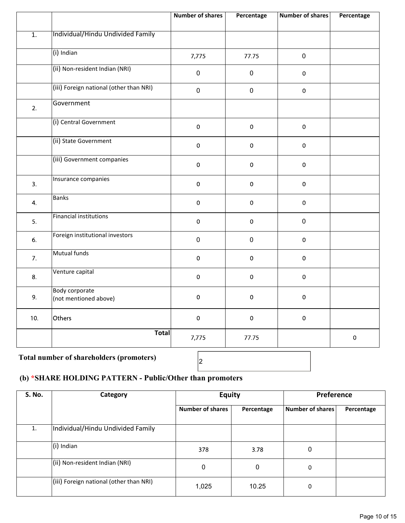|                  |                                                | <b>Number of shares</b> | Percentage  | <b>Number of shares</b> | Percentage |
|------------------|------------------------------------------------|-------------------------|-------------|-------------------------|------------|
| $\overline{1}$ . | Individual/Hindu Undivided Family              |                         |             |                         |            |
|                  | (i) Indian                                     | 7,775                   | 77.75       | $\pmb{0}$               |            |
|                  | (ii) Non-resident Indian (NRI)                 | $\pmb{0}$               | $\pmb{0}$   | $\pmb{0}$               |            |
|                  | (iii) Foreign national (other than NRI)        | $\pmb{0}$               | $\pmb{0}$   | $\pmb{0}$               |            |
| 2.               | Government                                     |                         |             |                         |            |
|                  | (i) Central Government                         | $\pmb{0}$               | $\pmb{0}$   | $\pmb{0}$               |            |
|                  | (ii) State Government                          | $\pmb{0}$               | $\mathbf 0$ | $\mathbf 0$             |            |
|                  | (iii) Government companies                     | $\pmb{0}$               | $\mathbf 0$ | $\mathbf 0$             |            |
| 3.               | Insurance companies                            | $\pmb{0}$               | $\pmb{0}$   | $\pmb{0}$               |            |
| 4.               | <b>Banks</b>                                   | $\pmb{0}$               | $\pmb{0}$   | $\pmb{0}$               |            |
| 5.               | <b>Financial institutions</b>                  | $\pmb{0}$               | $\pmb{0}$   | $\pmb{0}$               |            |
| 6.               | Foreign institutional investors                | $\pmb{0}$               | $\pmb{0}$   | $\mathbf 0$             |            |
| 7.               | <b>Mutual funds</b>                            | $\pmb{0}$               | $\pmb{0}$   | $\pmb{0}$               |            |
| 8.               | Venture capital                                | $\pmb{0}$               | $\mathbf 0$ | $\pmb{0}$               |            |
| 9.               | <b>Body corporate</b><br>(not mentioned above) | $\mathbf 0$             | $\mathbf 0$ | $\mathbf 0$             |            |
| 10.              | Others                                         | $\pmb{0}$               | $\mathbf 0$ | $\mathbf 0$             |            |
|                  | <b>Total</b>                                   | 7,775                   | 77.75       |                         | $\pmb{0}$  |

# Total number of shareholders (promoters)  $\begin{bmatrix} 2 \end{bmatrix}$

## (b) \*SHARE HOLDING PATTERN - Public/Other than promoters

| <b>S. No.</b> | Category                                | <b>Equity</b>           |             | Preference       |            |
|---------------|-----------------------------------------|-------------------------|-------------|------------------|------------|
|               |                                         | <b>Number of shares</b> | Percentage  | Number of shares | Percentage |
| 1.            | Individual/Hindu Undivided Family       |                         |             |                  |            |
|               | $(i)$ Indian                            | 378                     | 3.78        | 0                |            |
|               | (ii) Non-resident Indian (NRI)          | 0                       | $\mathbf 0$ | 0                |            |
|               | (iii) Foreign national (other than NRI) | 1,025                   | 10.25       | 0                |            |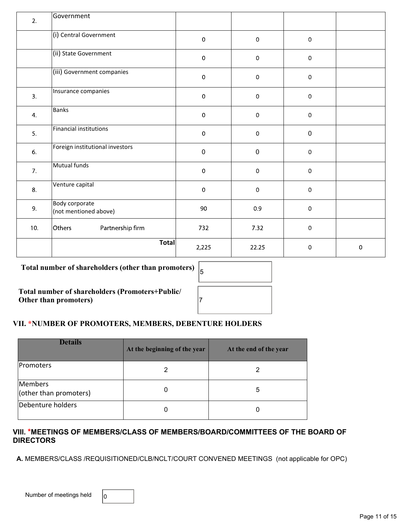| 2.  | Government                                     |             |                     |                     |           |
|-----|------------------------------------------------|-------------|---------------------|---------------------|-----------|
|     | (i) Central Government                         | $\pmb{0}$   | $\mathbf 0$         | $\mathbf 0$         |           |
|     | (ii) State Government                          | $\pmb{0}$   | $\mathsf{O}\xspace$ | $\mathsf{O}\xspace$ |           |
|     | (iii) Government companies                     | $\pmb{0}$   | $\mathbf 0$         | $\mathsf{O}\xspace$ |           |
| 3.  | Insurance companies                            | $\pmb{0}$   | $\,0\,$             | $\mathsf{O}\xspace$ |           |
| 4.  | Banks                                          | $\mathbf 0$ | $\boldsymbol{0}$    | $\mathsf{O}\xspace$ |           |
| 5.  | <b>Financial institutions</b>                  | $\mathbf 0$ | $\mathsf{O}\xspace$ | $\mathbf 0$         |           |
| 6.  | Foreign institutional investors                | $\mathbf 0$ | $\mathbf 0$         | $\mathbf 0$         |           |
| 7.  | Mutual funds                                   | $\pmb{0}$   | $\mathsf{O}\xspace$ | 0                   |           |
| 8.  | Venture capital                                | $\mathbf 0$ | $\mathbf 0$         | $\mathbf 0$         |           |
| 9.  | <b>Body corporate</b><br>(not mentioned above) | 90          | 0.9                 | $\mathsf{O}\xspace$ |           |
| 10. | Others<br>Partnership firm                     | 732         | 7.32                | $\mathbf 0$         |           |
|     | <b>Total</b>                                   | 2,225       | 22.25               | $\mathsf{O}\xspace$ | $\pmb{0}$ |

## Total number of shareholders (other than promoters) <sup>5</sup>

Total number of shareholders (Promoters+Public/ Other than promoters)

| 5 |  |
|---|--|
| 7 |  |

#### VII. \*NUMBER OF PROMOTERS, MEMBERS, DEBENTURE HOLDERS

| <b>Details</b>                    | At the beginning of the year | At the end of the year |
|-----------------------------------|------------------------------|------------------------|
| Promoters                         |                              |                        |
| Members<br>(other than promoters) | 0                            | 5                      |
| Debenture holders                 | 0                            |                        |

#### VIII. \*MEETINGS OF MEMBERS/CLASS OF MEMBERS/BOARD/COMMITTEES OF THE BOARD OF **DIRECTORS**

A. MEMBERS/CLASS /REQUISITIONED/CLB/NCLT/COURT CONVENED MEETINGS (not applicable for OPC)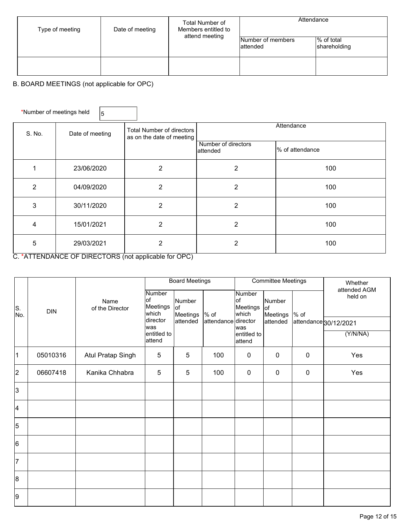| Type of meeting | Date of meeting | Total Number of<br>Members entitled to<br>attend meeting | Attendance                     |                            |  |
|-----------------|-----------------|----------------------------------------------------------|--------------------------------|----------------------------|--|
|                 |                 |                                                          | Number of members<br>lattended | % of total<br>shareholding |  |
|                 |                 |                                                          |                                |                            |  |

## B. BOARD MEETINGS (not applicable for OPC)

| *Number of meetings held |                 | 5 |                                                        |                                 |                 |  |
|--------------------------|-----------------|---|--------------------------------------------------------|---------------------------------|-----------------|--|
| S. No.                   | Date of meeting |   | Total Number of directors<br>as on the date of meeting | Attendance                      |                 |  |
|                          |                 |   |                                                        | Number of directors<br>attended | % of attendance |  |
|                          | 23/06/2020      |   | 2                                                      | $\overline{2}$                  | 100             |  |
| 2                        | 04/09/2020      |   | 2                                                      | $\overline{2}$                  | 100             |  |
| 3                        | 30/11/2020      |   | $\overline{2}$                                         | 2                               | 100             |  |
| 4                        | 15/01/2021      |   | 2                                                      | $\overline{2}$                  | 100             |  |
| 5                        | 29/03/2021      |   | 2                                                      | 2                               | 100             |  |

C. \*ATTENDANCE OF DIRECTORS (not applicable for OPC)

|                         |          |                          | <b>Board Meetings</b>              |                           | <b>Committee Meetings</b> |                                                 |                           | Whether<br>attended AGM |                       |
|-------------------------|----------|--------------------------|------------------------------------|---------------------------|---------------------------|-------------------------------------------------|---------------------------|-------------------------|-----------------------|
| S.<br>No.               | DIN      | Name<br>of the Director  | Number<br>lof<br>Meetings<br>which | Number<br>lof<br>Meetings | $\frac{9}{6}$ of          | <b>Number</b><br>of<br><b>Meetings</b><br>which | Number<br>lof<br>Meetings | $%$ of                  | held on               |
|                         |          |                          | director<br>lwas                   | attended                  | attendance director       | was                                             | attended                  |                         | attendance 30/12/2021 |
|                         |          |                          | entitled to<br>attend              |                           |                           | entitled to<br>attend                           |                           |                         | (Y/N/NA)              |
| $\mathbf 1$             | 05010316 | <b>Atul Pratap Singh</b> | $\overline{5}$                     | $\sqrt{5}$                | 100                       | $\pmb{0}$                                       | $\mathbf 0$               | $\pmb{0}$               | Yes                   |
| $\overline{2}$          | 06607418 | Kanika Chhabra           | $\overline{5}$                     | 5                         | 100                       | $\mathbf 0$                                     | $\mathbf 0$               | $\pmb{0}$               | Yes                   |
| $\overline{3}$          |          |                          |                                    |                           |                           |                                                 |                           |                         |                       |
| $\overline{\mathbf{4}}$ |          |                          |                                    |                           |                           |                                                 |                           |                         |                       |
| 5                       |          |                          |                                    |                           |                           |                                                 |                           |                         |                       |
| 6                       |          |                          |                                    |                           |                           |                                                 |                           |                         |                       |
| $\overline{7}$          |          |                          |                                    |                           |                           |                                                 |                           |                         |                       |
| 8                       |          |                          |                                    |                           |                           |                                                 |                           |                         |                       |
| 9                       |          |                          |                                    |                           |                           |                                                 |                           |                         |                       |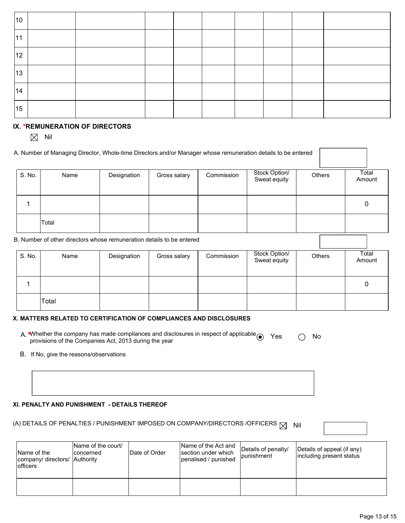| 10 |  |  |  |  |  |
|----|--|--|--|--|--|
| 11 |  |  |  |  |  |
| 12 |  |  |  |  |  |
| 13 |  |  |  |  |  |
| 14 |  |  |  |  |  |
| 15 |  |  |  |  |  |

#### IX. \*REMUNERATION OF DIRECTORS

 $\boxtimes$  Nil

|                                                                       | A. Number of Managing Director, Whole-time Directors and/or Manager whose remuneration details to be entered |             |              |            |                               |               |                 |  |
|-----------------------------------------------------------------------|--------------------------------------------------------------------------------------------------------------|-------------|--------------|------------|-------------------------------|---------------|-----------------|--|
| S. No.                                                                | Name                                                                                                         | Designation | Gross salary | Commission | Stock Option/<br>Sweat equity | <b>Others</b> | Total<br>Amount |  |
|                                                                       |                                                                                                              |             |              |            |                               |               | 0               |  |
|                                                                       | Total                                                                                                        |             |              |            |                               |               |                 |  |
| B. Number of other directors whose remuneration details to be entered |                                                                                                              |             |              |            |                               |               |                 |  |
| S. No.                                                                | Name                                                                                                         | Designation | Gross salary | Commission | Stock Option/<br>Sweat equity | <b>Others</b> | Total<br>Amount |  |
|                                                                       |                                                                                                              |             |              |            |                               |               |                 |  |

#### X. MATTERS RELATED TO CERTIFICATION OF COMPLIANCES AND DISCLOSURES

| A. *Whether the company has made compliances and disclosures in respect of applicable $\odot$ Yes |  | $\bigcirc$ No |  |
|---------------------------------------------------------------------------------------------------|--|---------------|--|
| provisions of the Companies Act, 2013 during the year                                             |  |               |  |

B. If No, give the reasons/observations

Total

#### XI. PENALTY AND PUNISHMENT - DETAILS THEREOF

# (A) DETAILS OF PENALTIES / PUNISHMENT IMPOSED ON COMPANY/DIRECTORS /OFFICERS  $\boxtimes$  Nil

| Name of the<br>company/ directors/ Authority<br><b>lofficers</b> | Name of the court/<br>concerned | <b>IDate of Order</b> | Name of the Act and<br>section under which<br>lpenalised / punished | Details of penalty/<br><i>lpunishment</i> | Details of appeal (if any)<br>including present status |
|------------------------------------------------------------------|---------------------------------|-----------------------|---------------------------------------------------------------------|-------------------------------------------|--------------------------------------------------------|
|                                                                  |                                 |                       |                                                                     |                                           |                                                        |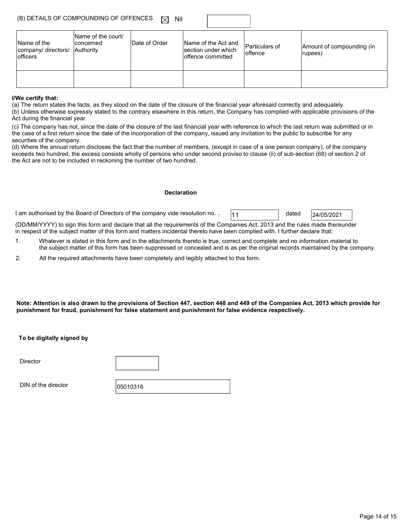| (B) DETAILS OF COMPOUNDING OF OFFENCES $\Box$ Nil |  |
|---------------------------------------------------|--|
|---------------------------------------------------|--|

| Name of the<br>company/ directors/<br>lofficers | Name of the court/<br>Iconcerned<br>Authority | Date of Order | Name of the Act and<br>section under which<br>loffence committed | Particulars of<br>loffence | Amount of compounding (in<br>(rupees) |
|-------------------------------------------------|-----------------------------------------------|---------------|------------------------------------------------------------------|----------------------------|---------------------------------------|
|                                                 |                                               |               |                                                                  |                            |                                       |

#### I/We certify that:

(a) The return states the facts, as they stood on the date of the closure of the financial year aforesaid correctly and adequately.

(b) Unless otherwise expressly stated to the contrary elsewhere in this return, the Company has complied with applicable provisions of the Act during the financial year.

(c) The company has not, since the date of the closure of the last financial year with reference to which the last return was submitted or in the case of a first return since the date of the incorporation of the company, issued any invitation to the public to subscribe for any securities of the company.

(d) Where the annual return discloses the fact that the number of members, (except in case of a one person company), of the company exceeds two hundred, the excess consists wholly of persons who under second proviso to clause (ii) of sub-section (68) of section 2 of the Act are not to be included in reckoning the number of two hundred.

#### Declaration

1 am authorised by the Board of Directors of the company vide resolution no. ..  $\begin{bmatrix} 11 & 1 \end{bmatrix}$  dated  $\begin{bmatrix} 24/05/2021 \end{bmatrix}$ 

(DD/MM/YYYY) to sign this form and declare that all the requirements of the Companies Act, 2013 and the rules made thereunder in respect of the subject matter of this form and matters incidental thereto have been complied with. I further declare that:

- 1. Whatever is stated in this form and in the attachments thereto is true, correct and complete and no information material to the subject matter of this form has been suppressed or concealed and is as per the original records maintained by the company.
- 2. All the required attachments have been completely and legibly attached to this form.

Note: Attention is also drawn to the provisions of Section 447, section 448 and 449 of the Companies Act, 2013 which provide for punishment for fraud, punishment for false statement and punishment for false evidence respectively.

To be digitally signed by

**Director** 

DIN of the director